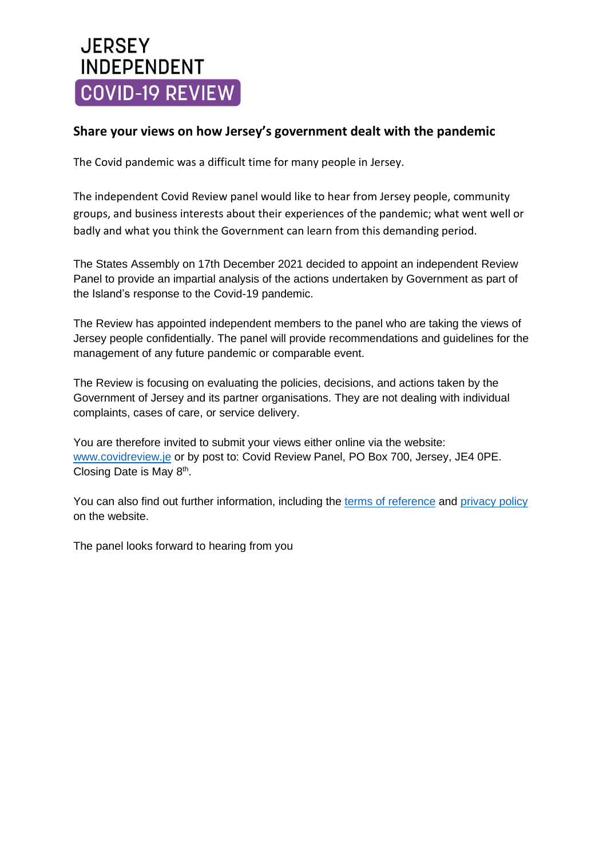# **JERSEY INDEPENDENT** COVID-19 REVIEW

### **Share your views on how Jersey's government dealt with the pandemic**

The Covid pandemic was a difficult time for many people in Jersey.

The independent Covid Review panel would like to hear from Jersey people, community groups, and business interests about their experiences of the pandemic; what went well or badly and what you think the Government can learn from this demanding period.

The States Assembly on 17th December 2021 decided to appoint an independent Review Panel to provide an impartial analysis of the actions undertaken by Government as part of the Island's response to the Covid-19 pandemic.

The Review has appointed independent members to the panel who are taking the views of Jersey people confidentially. The panel will provide recommendations and guidelines for the management of any future pandemic or comparable event.

The Review is focusing on evaluating the policies, decisions, and actions taken by the Government of Jersey and its partner organisations. They are not dealing with individual complaints, cases of care, or service delivery.

You are therefore invited to submit your views either online via the website: [www.covidreview.je](http://www.covidreview.je/) or by post to: Covid Review Panel, PO Box 700, Jersey, JE4 0PE. Closing Date is May 8<sup>th</sup>.

You can also find out further information, including the terms of [reference](https://covidreview.je/terms-of-reference/) and [privacy](https://covidreview.je/privacy-policy/) policy on the website.

The panel looks forward to hearing from you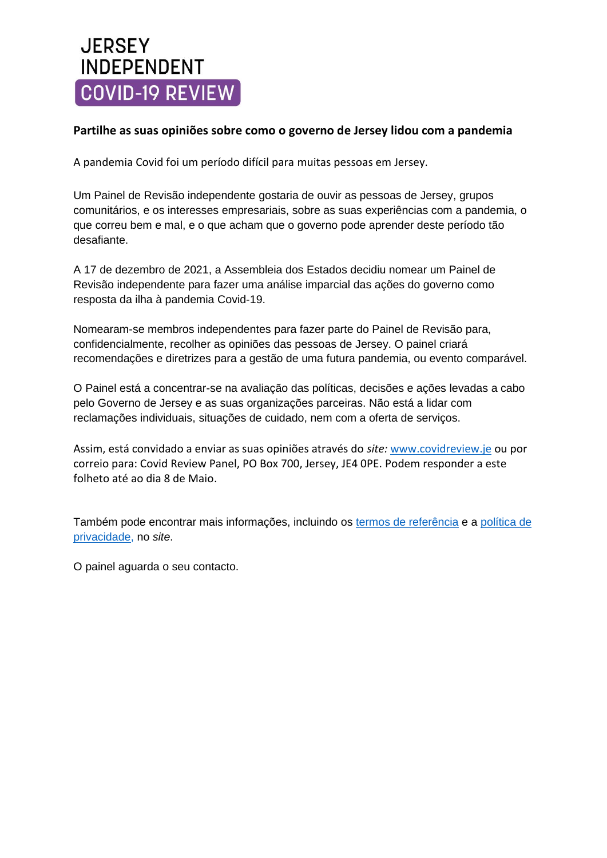# **JERSEY INDEPENDENT** COVID-19 REVIEW

#### **Partilhe as suas opiniões sobre como o governo de Jersey lidou com a pandemia**

A pandemia Covid foi um período difícil para muitas pessoas em Jersey.

Um Painel de Revisão independente gostaria de ouvir as pessoas de Jersey, grupos comunitários, e os interesses empresariais, sobre as suas experiências com a pandemia, o que correu bem e mal, e o que acham que o governo pode aprender deste período tão desafiante.

A 17 de dezembro de 2021, a Assembleia dos Estados decidiu nomear um Painel de Revisão independente para fazer uma análise imparcial das ações do governo como resposta da ilha à pandemia Covid-19.

Nomearam-se membros independentes para fazer parte do Painel de Revisão para, confidencialmente, recolher as opiniões das pessoas de Jersey. O painel criará recomendações e diretrizes para a gestão de uma futura pandemia, ou evento comparável.

O Painel está a concentrar-se na avaliação das políticas, decisões e ações levadas a cabo pelo Governo de Jersey e as suas organizações parceiras. Não está a lidar com reclamações individuais, situações de cuidado, nem com a oferta de serviços.

Assim, está convidado a enviar as suas opiniões através do *site:* [www.covidreview.je](http://www.covidreview.je/) ou por correio para: Covid Review Panel, PO Box 700, Jersey, JE4 0PE. Podem responder a este folheto até ao dia 8 de Maio.

Também pode encontrar mais informações, incluindo os termos de [referência](https://covidreview.je/terms-of-reference/) e a [política](https://covidreview.je/privacy-policy/) de [privacidade,](https://covidreview.je/privacy-policy/) no *site*.

O painel aguarda o seu contacto.